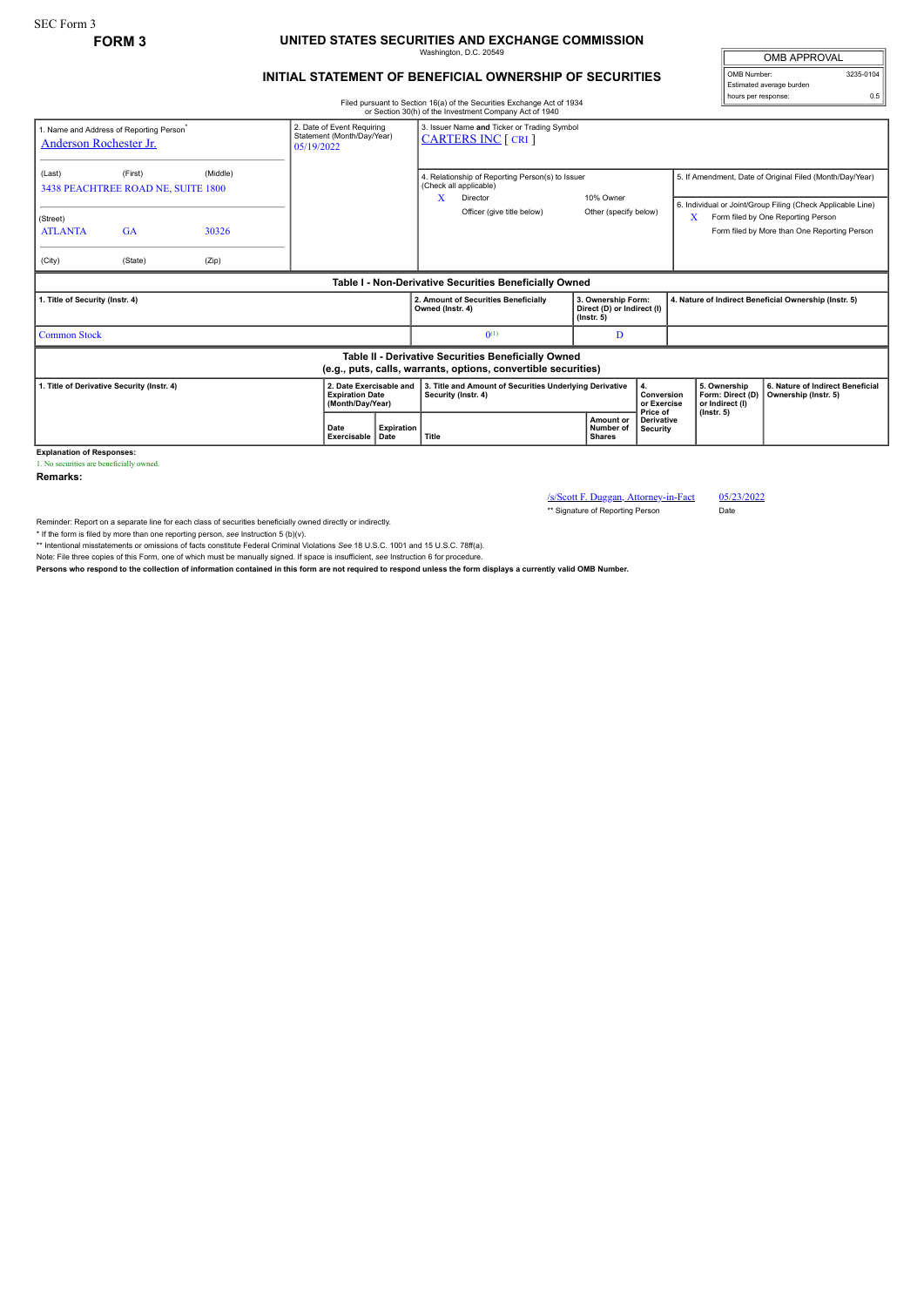## **FORM 3 UNITED STATES SECURITIES AND EXCHANGE COMMISSION** Washington, D.C. 20549

## **INITIAL STATEMENT OF BENEFICIAL OWNERSHIP OF SECURITIES**

Filed pursuant to Section 16(a) of the Securities Exchange Act of 1934 or Section 30(h) of the Investment Company Act of 1940

|                                                                                                                                                          |         |       |   |                             |                                                                                                                      |                                   | or Section 30(h) or the investment Company Act of 1940                                     |                                                                      |                                                                                                                                                                                                                    |                                                       |                                                          |                  |  |
|----------------------------------------------------------------------------------------------------------------------------------------------------------|---------|-------|---|-----------------------------|----------------------------------------------------------------------------------------------------------------------|-----------------------------------|--------------------------------------------------------------------------------------------|----------------------------------------------------------------------|--------------------------------------------------------------------------------------------------------------------------------------------------------------------------------------------------------------------|-------------------------------------------------------|----------------------------------------------------------|------------------|--|
| 2. Date of Event Requiring<br>1. Name and Address of Reporting Person <sup>*</sup><br>Statement (Month/Day/Year)<br>Anderson Rochester Jr.<br>05/19/2022 |         |       |   |                             | 3. Issuer Name and Ticker or Trading Symbol<br><b>CARTERS INC</b> [ CRI ]                                            |                                   |                                                                                            |                                                                      |                                                                                                                                                                                                                    |                                                       |                                                          |                  |  |
| (Middle)<br>(First)<br>(Last)<br>3438 PEACHTREE ROAD NE, SUITE 1800<br>(Street)<br><b>ATLANTA</b><br>GA<br>30326                                         |         |       | X |                             | 4. Relationship of Reporting Person(s) to Issuer<br>(Check all applicable)<br>Director<br>Officer (give title below) |                                   | 10% Owner<br>Other (specify below)                                                         |                                                                      | 5. If Amendment, Date of Original Filed (Month/Day/Year)<br>6. Individual or Joint/Group Filing (Check Applicable Line)<br>Form filed by One Reporting Person<br>X<br>Form filed by More than One Reporting Person |                                                       |                                                          |                  |  |
| (City)                                                                                                                                                   | (State) | (Zip) |   |                             |                                                                                                                      |                                   |                                                                                            |                                                                      |                                                                                                                                                                                                                    |                                                       |                                                          |                  |  |
| Table I - Non-Derivative Securities Beneficially Owned                                                                                                   |         |       |   |                             |                                                                                                                      |                                   |                                                                                            |                                                                      |                                                                                                                                                                                                                    |                                                       |                                                          |                  |  |
| 1. Title of Security (Instr. 4)                                                                                                                          |         |       |   |                             |                                                                                                                      | Owned (Instr. 4)                  | 2. Amount of Securities Beneficially                                                       | 3. Ownership Form:<br>Direct (D) or Indirect (I)<br>$($ lnstr. 5 $)$ |                                                                                                                                                                                                                    | 4. Nature of Indirect Beneficial Ownership (Instr. 5) |                                                          |                  |  |
| <b>Common Stock</b>                                                                                                                                      |         |       |   |                             |                                                                                                                      |                                   | $0^{(1)}$                                                                                  |                                                                      | D                                                                                                                                                                                                                  |                                                       |                                                          |                  |  |
| Table II - Derivative Securities Beneficially Owned<br>(e.g., puts, calls, warrants, options, convertible securities)                                    |         |       |   |                             |                                                                                                                      |                                   |                                                                                            |                                                                      |                                                                                                                                                                                                                    |                                                       |                                                          |                  |  |
| 2. Date Exercisable and<br>1. Title of Derivative Security (Instr. 4)<br><b>Expiration Date</b><br>(Month/Day/Year)                                      |         |       |   |                             | Security (Instr. 4)                                                                                                  |                                   | 3. Title and Amount of Securities Underlying Derivative<br>4.<br>Conversion<br>or Exercise |                                                                      | 5. Ownership<br>Form: Direct (D)<br>or Indirect (I)                                                                                                                                                                |                                                       | 6. Nature of Indirect Beneficial<br>Ownership (Instr. 5) |                  |  |
|                                                                                                                                                          |         |       |   | Date<br>Exercisable<br>Date |                                                                                                                      | <b>Expiration</b><br><b>Title</b> |                                                                                            |                                                                      | Price of<br>Amount or<br><b>Derivative</b><br>Number of<br>Security<br><b>Shares</b>                                                                                                                               |                                                       |                                                          | $($ lnstr. 5 $)$ |  |

**Explanation of Responses:** 1. No securities are beneficially owned.

**Remarks:**

/s/Scott F. Duggan, Attorney-in-Fact 05/23/2022 \*\* Signature of Reporting Person

Reminder: Report on a separate line for each class of securities beneficially owned directly or indirectly.

\* If the form is filed by more than one reporting person, see Instruction 5 (b)(v).<br>\*\* Intentional misstatements or omissions of facts constitute Federal Criminal Violations See 18 U.S.C. 1001 and 15 U.S.C. 78ff(a).

Note: File three copies of this Form, one of which must be manually signed. If space is insufficient, see Instruction 6 for procedure.<br>Persons who respond to the collection of information contained in this form are not req